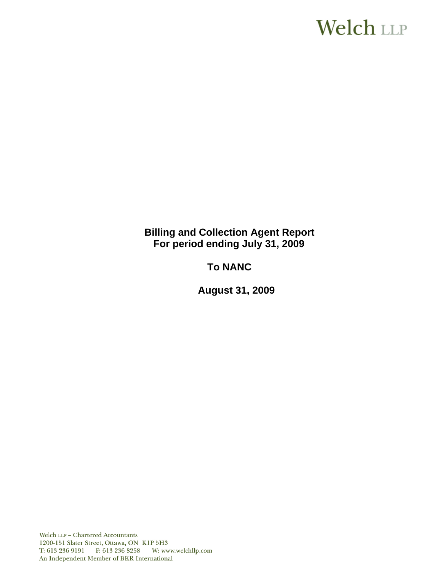# **Welch LLP**

**Billing and Collection Agent Report For period ending July 31, 2009**

**To NANC** 

 **August 31, 2009**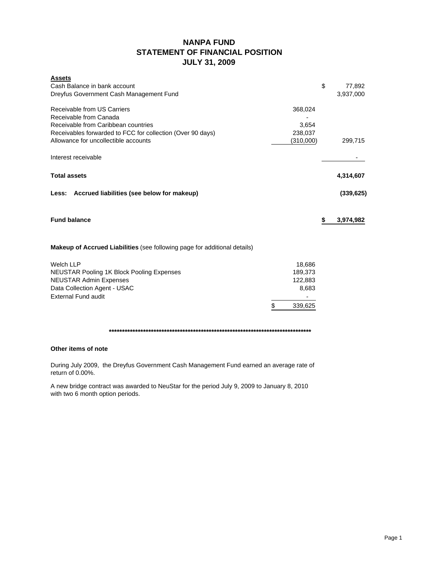## **NANPA FUND STATEMENT OF FINANCIAL POSITION JULY 31, 2009**

| <b>Assets</b><br>Cash Balance in bank account<br>Dreyfus Government Cash Management Fund                                                                   |                              | \$<br>77,892<br>3,937,000 |
|------------------------------------------------------------------------------------------------------------------------------------------------------------|------------------------------|---------------------------|
| Receivable from US Carriers<br>Receivable from Canada<br>Receivable from Caribbean countries<br>Receivables forwarded to FCC for collection (Over 90 days) | 368,024<br>3,654<br>238,037  |                           |
| Allowance for uncollectible accounts                                                                                                                       | (310,000)                    | 299,715                   |
| Interest receivable                                                                                                                                        |                              |                           |
| <b>Total assets</b>                                                                                                                                        |                              | 4,314,607                 |
| Accrued liabilities (see below for makeup)<br>Less:                                                                                                        |                              | (339, 625)                |
| <b>Fund balance</b>                                                                                                                                        |                              | \$<br>3,974,982           |
| <b>Makeup of Accrued Liabilities</b> (see following page for additional details)                                                                           |                              |                           |
| <b>Welch LLP</b><br><b>NEUSTAR Pooling 1K Block Pooling Expenses</b><br><b>NEUSTAR Admin Expenses</b>                                                      | 18,686<br>189,373<br>122,883 |                           |
| Data Collection Agent - USAC<br><b>External Fund audit</b>                                                                                                 | 8,683                        |                           |
| \$                                                                                                                                                         | 339,625                      |                           |
|                                                                                                                                                            |                              |                           |

#### **Other items of note**

During July 2009, the Dreyfus Government Cash Management Fund earned an average rate of return of 0.00%.

A new bridge contract was awarded to NeuStar for the period July 9, 2009 to January 8, 2010 with two 6 month option periods.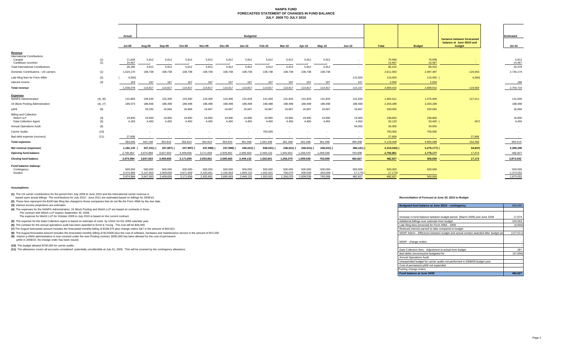#### **NANPA FUND FORECASTED STATEMENT OF CHANGES IN FUND BALANCE JULY 2009 TO JULY 2010**

|                                                                     |            | Actual                            |                                   |                                   |                                   |                                   |                                   | <b>Budgeted</b>                   |                                   |                                 |                                 |                               |                               |                               |                                      |                                                                    | <b>Estimated</b>                  |
|---------------------------------------------------------------------|------------|-----------------------------------|-----------------------------------|-----------------------------------|-----------------------------------|-----------------------------------|-----------------------------------|-----------------------------------|-----------------------------------|---------------------------------|---------------------------------|-------------------------------|-------------------------------|-------------------------------|--------------------------------------|--------------------------------------------------------------------|-----------------------------------|
|                                                                     |            | Jul-09                            | Aug-09                            | Sep-09                            | Oct-09                            | Nov-09                            | Dec-09                            | Jan-10                            | Feb-10                            | Mar-10                          | Apr-10                          | Mav-10                        | <b>Jun-10</b>                 | <b>Total</b>                  | <b>Budget</b>                        | Variance between forecasted<br>balance at June 30/10 and<br>budget | <b>Jul-10</b>                     |
| Revenue<br><b>International Contributions</b>                       |            |                                   |                                   |                                   |                                   |                                   |                                   |                                   |                                   |                                 |                                 |                               |                               |                               |                                      |                                                                    |                                   |
| Canada<br>Caribbean countries                                       | (1)<br>(1) | 11,828<br>14,467                  | 5,912<br>$\sim$                   | 5,912<br>$\sim$                   | 5,912                             | 5,912<br>$\overline{\phantom{a}}$ | 5,912                             | 5,912<br>$\sim$                   | 5,912                             | 5,912<br>$\sim$                 | 5,912                           | 5,912                         | $\sim$<br>$\sim$              | 70,948<br>14,467              | 70,948<br>14,467                     |                                                                    | 5,912<br>14,467                   |
| <b>Total International Contributions</b>                            |            | 26,295                            | 5.912                             | 5,912                             | 5,912                             | 5,912                             | 5,912                             | 5,912                             | 5,912                             | 5,912                           | 5.912                           | 5,912                         |                               | 85,415                        | 85,415                               |                                                                    | 20,379                            |
| Domestic Contributions - US carriers                                | (1)        | 1,524,170                         | 108,738                           | 108,738                           | 108,738                           | 108,738                           | 108,738                           | 108,738                           | 108,738                           | 108,738                         | 108,738                         | 108,738                       |                               | 2,611,550                     | 2,487,497                            | 124,053                                                            | 2,730,174                         |
| Late filing fees for Form 499A                                      | (2)        | 4,550                             |                                   |                                   |                                   |                                   |                                   |                                   |                                   |                                 |                                 |                               | 115,000                       | 110,450                       | 115,000 (                            | 4,550)                                                             |                                   |
| Interest income                                                     | (3)        | 163                               | 167                               | 167                               | 167                               | 167                               | 167                               | 167                               | 167                               | 167                             | 167                             | 167                           | 167                           | 2,000                         | 2,000                                |                                                                    | 166                               |
| <b>Total revenue</b>                                                |            | 1,546,078                         | 114.817                           | 114,817                           | 114,817                           | 114,817                           | 114,817                           | 114,817                           | 114,817                           | 114,817                         | 114,817                         | 114,817                       | 115,167                       | 2,809,415                     | 2,689,912                            | 119,503                                                            | 2,750,719                         |
| <b>Expenses</b><br>NANPA Administration                             | (4), (8)   | 122.883                           | 195,530                           | 123,300                           | 123,300                           | 123,300                           | 123,300                           | 131,833                           | 131,833                           | 131,833                         | 131,833                         | 131,833                       | 131,833                       | 1,602,611                     | 1,475,600                            | 127,011                                                            | 131,000                           |
| 1K Block Pooling Administration                                     | (4), (7)   | 189,373                           | 188,936                           | 188,498                           | 188,498                           | 188,498                           | 188,498                           | 188,498                           | 188,498                           | 188,498                         | 188,498                         | 188,498                       | 188,498                       | 2,263,289                     | 2,263,289                            |                                                                    | 188,498                           |
| pANI                                                                | (9)        |                                   | 33,332                            | 16,666                            | 16,666                            | 16,667                            | 16,667                            | 16,667                            | 16,667                            | 16,667                          | 16,667                          | 16,667                        | 16,667                        | 200,000                       | 200,000                              |                                                                    | 16,666                            |
| <b>Billing and Collection</b><br>Welch LLP<br>Data Collection Agent | (4)<br>(5) | 19,900<br>4,183                   | 19,900<br>4,450                   | 19,900<br>4,450                   | 19,900<br>4,450                   | 19,900<br>4,450                   | 19,900<br>4,450                   | 19,900<br>4,450                   | 19,900<br>4,450                   | 19,900<br>4,450                 | 19,900<br>4,450                 | 19,900<br>4.450               | 19,900<br>4,450               | 238,800<br>53,133             | 238,800<br>53,400 (                  | 267)                                                               | 19,900<br>4,450                   |
| <b>Annual Operations Audit</b>                                      | (6)        |                                   | $\sim$                            | $\sim$                            | $\overline{\phantom{a}}$          |                                   |                                   | $\sim$                            | $\overline{\phantom{a}}$          | $\sim$                          | $\sim$                          |                               | 34,000                        | 34,000                        | 34,000                               |                                                                    | $\sim$                            |
| <b>Carrier Audits</b>                                               | (10)       |                                   |                                   |                                   |                                   |                                   |                                   | $\sim$                            | 700,000                           | $\sim$                          |                                 |                               | $\sim$                        | 700,000                       | 700,000                              |                                                                    | $\sim$                            |
| Bad debt expense (recovery)                                         | (11)       | 27,606                            |                                   |                                   |                                   |                                   |                                   |                                   |                                   | $\sim$                          |                                 | $\sim$                        | $\sim$                        | 27,606                        | <b>College</b>                       | 27,606                                                             | $\sim$                            |
| <b>Total expenses</b>                                               |            | 363,945                           | 442,148                           | 352,814                           | 352,814                           | 352,815                           | 352,815                           | 361,348                           | 1,061,348                         | 361,348                         | 361,348                         | 361,348                       | 395,348                       | 5,119,439                     | 4,965,089                            | 154,350                                                            | 360,514                           |
| Net revenue (expenses                                               |            | 1,182,133                         | 327,331) (                        | 237,997)                          | 237,997)                          | 237,998)                          | 237,998)                          | 246,531)                          | 946,531)                          | 246,531) (                      | 246,531) (                      | 246,531) (                    | $280,181$ (                   | $2,310,024$ (                 | $2,275,177$ ) (                      | 34,847)                                                            | 2,390,205                         |
| <b>Opening fund balance</b>                                         |            | 2,792,851                         | 3.974.984                         | 3,647,653                         | 3,409,656                         | 3,171,659                         | 2,933,661                         | 2,695,663                         | 2,449,132                         | 1,502,601                       | 1,256,070                       | 1,009,539                     | 763,008                       | 2.792.851                     | 1,775,177                            | 17,674                                                             | 482,82                            |
| <b>Closing fund balance</b>                                         |            | 3,974,984                         | 3,647,653                         | 3,409,656                         | 3,171,659                         | 2,933,661                         | 2,695,663                         | 2,449,132                         | 1,502,601                         | 1,256,070                       | 1,009,539                       | 763,008                       | 482,827                       | 482.827 -                     | 500,000                              | 17,173                                                             | 2,873,032                         |
| Fund balance makeup:<br>Contingency<br>Surplus                      |            | 500,000<br>3,474,984<br>3.974.984 | 500,000<br>3,147,653<br>3.647.653 | 500,000<br>2,909,656<br>3.409.656 | 500,000<br>2,671,659<br>3.171.659 | 500,000<br>2,433,661<br>2.933.661 | 500,000<br>2,195,663<br>2.695.663 | 500,000<br>1,949,132<br>2,449,132 | 500,000<br>1,002,601<br>1,502,601 | 500,000<br>756,070<br>1,256,070 | 500,000<br>509,539<br>1,009,539 | 500,000<br>263,008<br>763.008 | 500,000<br>17,173)<br>482.827 | 500,000<br>17,173)<br>482.827 | 500,000<br><b>College</b><br>500,000 |                                                                    | 500,000<br>2,373,032<br>2,873,032 |

#### **Assumptions:**

**(1)** The US carrier contributions for the period from July 2009 to June 2010 and the International carrier revenue is

based upon actual billings The contributions for July 2010 - June 2011 are estimated based on billings for 2009/10.

**(2)** These fees represent the \$100 late filing fee charged to those companies that do not file the Form 499A by the due date.

**(3)** Interest income projections are estimates

**(4)** The expenses for the NANPA Administration, 1K Block Pooling and Welch LLP are based on contracts in force.

The contract with Welch LLP expires September 30, 2009. The expense for Welch LLP for October 2009 to July 2010 is based on the current contract.

**(5)** The expense for the Data Collection Agent is based on estimate of costs by USAC for the 2009 calendar year.

**(6)** The contract for the annual operations audit has been awarded to Ernst & Young. The cost will be \$34,000.

(7) The August forecasted amount includes the forecasted monthly billing of \$189,375 plus change orders 5&7 in the amount of \$44,821

(8) The August forecasted amount includes the forecasted monthly billing of \$123300 plus the cost of software, hardware and maintenance service in the amount of \$72,230

**(9)** Interim p-ANNI administration is now covered under the new Pooling contract. \$200,000 has been allowed for the cost of permanent pANI in 2009/10. No change order has been issued.

**(10)** The budget allowed \$700,000 for carrier audits. -

(11) The allowance covers all accounts considered potentially uncollectible at July 31, 2009. This will be covered by the contingency allowance.

#### **Reconciliation of Forecast at June 30, 2010 to Budget**

| Budgeted fund balance at June 30/10 - contingency                                  |            |  |  |  |  |
|------------------------------------------------------------------------------------|------------|--|--|--|--|
|                                                                                    |            |  |  |  |  |
|                                                                                    |            |  |  |  |  |
| Increase in fund balance between budget period (March 2009) and June 2009          | 17,674     |  |  |  |  |
| Additional billings over estimate from budget                                      | 124.053    |  |  |  |  |
| Late filing fees (reversal) for Form 499A - 2009                                   | (4, 550)   |  |  |  |  |
| Reduced interest earned to date compared to budget                                 |            |  |  |  |  |
| NANP Admin - difference between budget and actual contact awarded after budget per | (127, 011) |  |  |  |  |
|                                                                                    |            |  |  |  |  |
| NANP - change orders                                                               |            |  |  |  |  |
|                                                                                    |            |  |  |  |  |
| Data Collection fees - Adiustment to actual from budget                            | 267        |  |  |  |  |
| Bad debts (recovery) not budgeted for                                              | (27, 606)  |  |  |  |  |
| <b>Annual Operations Audit</b>                                                     |            |  |  |  |  |
| Unexpended budget for carrier audits not performed in 2008/09 budget year          |            |  |  |  |  |
| Cost of permanent pANI not expended                                                |            |  |  |  |  |
| Pooling change orders                                                              |            |  |  |  |  |
| Fund balance at June 30/09                                                         | 482.827    |  |  |  |  |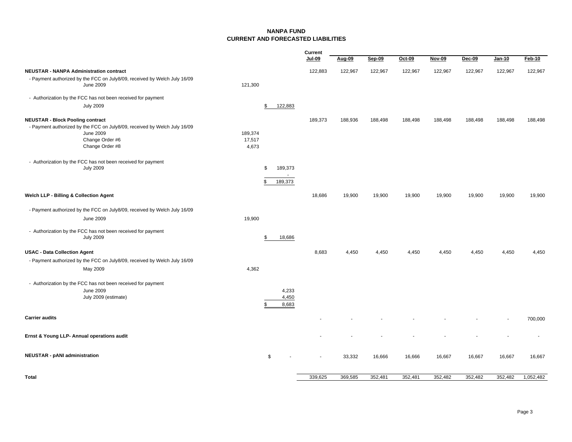#### **NANPA FUNDCURRENT AND FORECASTED LIABILITIES**

|                                                                                                                              |                            | Current<br>Jul-09  | Aug-09  | Sep-09  | Oct-09  | <b>Nov-09</b> | <b>Dec-09</b> | Jan-10  | Feb-10    |
|------------------------------------------------------------------------------------------------------------------------------|----------------------------|--------------------|---------|---------|---------|---------------|---------------|---------|-----------|
| <b>NEUSTAR - NANPA Administration contract</b>                                                                               |                            | 122,883            | 122,967 | 122,967 | 122,967 | 122,967       | 122,967       | 122,967 | 122,967   |
| - Payment authorized by the FCC on July8/09, received by Welch July 16/09<br><b>June 2009</b>                                | 121,300                    |                    |         |         |         |               |               |         |           |
| - Authorization by the FCC has not been received for payment                                                                 |                            |                    |         |         |         |               |               |         |           |
| <b>July 2009</b>                                                                                                             | \$                         | 122,883            |         |         |         |               |               |         |           |
| <b>NEUSTAR - Block Pooling contract</b>                                                                                      |                            | 189,373            | 188,936 | 188,498 | 188,498 | 188,498       | 188,498       | 188,498 | 188,498   |
| - Payment authorized by the FCC on July8/09, received by Welch July 16/09<br>June 2009<br>Change Order #6<br>Change Order #8 | 189,374<br>17,517<br>4,673 |                    |         |         |         |               |               |         |           |
| - Authorization by the FCC has not been received for payment<br><b>July 2009</b>                                             | -S<br>\$                   | 189,373<br>189,373 |         |         |         |               |               |         |           |
| Welch LLP - Billing & Collection Agent                                                                                       |                            | 18,686             | 19,900  | 19,900  | 19,900  | 19,900        | 19,900        | 19,900  | 19,900    |
| - Payment authorized by the FCC on July8/09, received by Welch July 16/09                                                    |                            |                    |         |         |         |               |               |         |           |
| <b>June 2009</b>                                                                                                             | 19,900                     |                    |         |         |         |               |               |         |           |
| - Authorization by the FCC has not been received for payment<br><b>July 2009</b>                                             | \$                         | 18,686             |         |         |         |               |               |         |           |
| <b>USAC - Data Collection Agent</b>                                                                                          |                            | 8,683              | 4,450   | 4,450   | 4,450   | 4,450         | 4,450         | 4,450   | 4,450     |
| - Payment authorized by the FCC on July8/09, received by Welch July 16/09                                                    |                            |                    |         |         |         |               |               |         |           |
| May 2009                                                                                                                     | 4,362                      |                    |         |         |         |               |               |         |           |
| - Authorization by the FCC has not been received for payment<br><b>June 2009</b>                                             |                            | 4,233              |         |         |         |               |               |         |           |
| July 2009 (estimate)                                                                                                         | \$                         | 4,450<br>8,683     |         |         |         |               |               |         |           |
| <b>Carrier audits</b>                                                                                                        |                            |                    |         |         |         |               |               |         | 700,000   |
| Ernst & Young LLP- Annual operations audit                                                                                   |                            |                    |         |         |         |               |               |         |           |
| <b>NEUSTAR - pANI administration</b>                                                                                         | \$                         |                    | 33,332  | 16,666  | 16,666  | 16,667        | 16,667        | 16,667  | 16,667    |
| Total                                                                                                                        |                            | 339,625            | 369,585 | 352,481 | 352,481 | 352,482       | 352,482       | 352,482 | 1,052,482 |